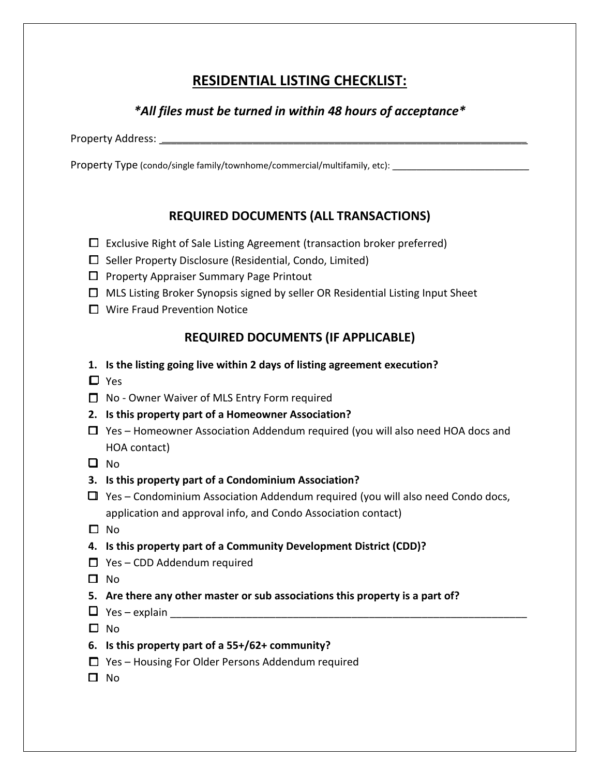## **RESIDENTIAL LISTING CHECKLIST:**

## *\*All files must be turned in within 48 hours of acceptance\**

Property Address: \_\_\_\_\_\_\_\_\_\_\_\_\_\_\_\_\_\_\_\_\_\_\_\_\_\_\_\_\_\_\_\_\_\_\_\_\_\_\_\_\_\_\_\_\_\_\_\_\_\_\_\_\_\_\_\_\_\_\_\_\_\_\_

Property Type (condo/single family/townhome/commercial/multifamily, etc): \_\_\_\_\_\_\_\_\_\_\_\_\_

## **REQUIRED DOCUMENTS (ALL TRANSACTIONS)**

- $\Box$  Exclusive Right of Sale Listing Agreement (transaction broker preferred)
- $\square$  Seller Property Disclosure (Residential, Condo, Limited)
- $\Box$  Property Appraiser Summary Page Printout
- $\Box$  MLS Listing Broker Synopsis signed by seller OR Residential Listing Input Sheet
- □ Wire Fraud Prevention Notice

## **REQUIRED DOCUMENTS (IF APPLICABLE)**

- **1. Is the listing going live within 2 days of listing agreement execution?**
- Yes
- □ No Owner Waiver of MLS Entry Form required
- **2. Is this property part of a Homeowner Association?**
- $\Box$  Yes Homeowner Association Addendum required (you will also need HOA docs and HOA contact)
- $\Box$  No
- **3. Is this property part of a Condominium Association?**
- $\Box$  Yes Condominium Association Addendum required (you will also need Condo docs, application and approval info, and Condo Association contact)
- $\square$  No
- **4. Is this property part of a Community Development District (CDD)?**
- $\Box$  Yes CDD Addendum required
- $\Box$  No
- **5. Are there any other master or sub associations this property is a part of?**
- Yes explain \_\_\_\_\_\_\_\_\_\_\_\_\_\_\_\_\_\_\_\_\_\_\_\_\_\_\_\_\_\_\_\_\_\_\_\_\_\_\_\_\_\_\_\_\_\_\_\_\_\_\_\_\_\_\_\_\_\_\_\_\_
- $\square$  No
- **6. Is this property part of a 55+/62+ community?**
- $\Box$  Yes Housing For Older Persons Addendum required
- $\Box$  No